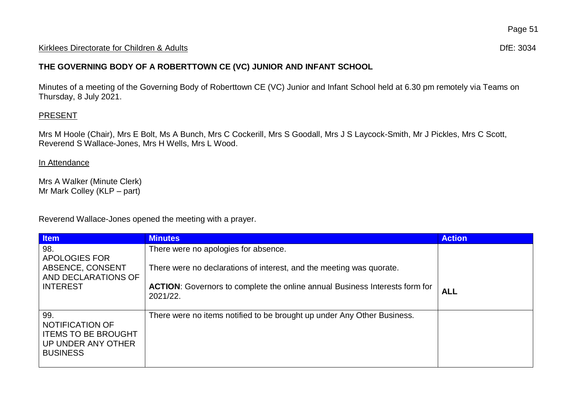#### Kirklees Directorate for Children & Adults **Difester Controller and Controller Controller Controller Controller Controller Controller Controller Controller Controller Controller Controller Controller Controller Controller**

## **THE GOVERNING BODY OF A ROBERTTOWN CE (VC) JUNIOR AND INFANT SCHOOL**

Minutes of a meeting of the Governing Body of Roberttown CE (VC) Junior and Infant School held at 6.30 pm remotely via Teams on Thursday, 8 July 2021.

## **PRESENT**

Mrs M Hoole (Chair), Mrs E Bolt, Ms A Bunch, Mrs C Cockerill, Mrs S Goodall, Mrs J S Laycock-Smith, Mr J Pickles, Mrs C Scott, Reverend S Wallace-Jones, Mrs H Wells, Mrs L Wood.

#### In Attendance

Mrs A Walker (Minute Clerk) Mr Mark Colley (KLP – part)

Reverend Wallace-Jones opened the meeting with a prayer.

| <b>Item</b>                                                                                   | <b>Minutes</b>                                                                                 | <b>Action</b> |
|-----------------------------------------------------------------------------------------------|------------------------------------------------------------------------------------------------|---------------|
| 98.<br>APOLOGIES FOR                                                                          | There were no apologies for absence.                                                           |               |
| ABSENCE, CONSENT<br>AND DECLARATIONS OF                                                       | There were no declarations of interest, and the meeting was quorate.                           |               |
| l INTEREST                                                                                    | <b>ACTION:</b> Governors to complete the online annual Business Interests form for<br>2021/22. | <b>ALL</b>    |
| 99.<br>NOTIFICATION OF<br><b>ITEMS TO BE BROUGHT</b><br>UP UNDER ANY OTHER<br><b>BUSINESS</b> | There were no items notified to be brought up under Any Other Business.                        |               |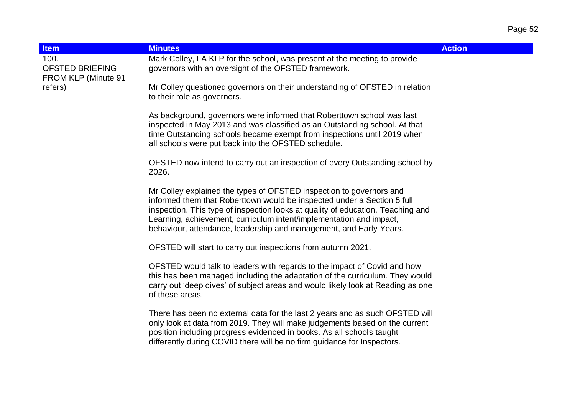| <b>Item</b>                                                      | <b>Minutes</b>                                                                                                                                                                                                                                                                                                                                                                 | <b>Action</b> |
|------------------------------------------------------------------|--------------------------------------------------------------------------------------------------------------------------------------------------------------------------------------------------------------------------------------------------------------------------------------------------------------------------------------------------------------------------------|---------------|
| 100.<br><b>OFSTED BRIEFING</b><br>FROM KLP (Minute 91<br>refers) | Mark Colley, LA KLP for the school, was present at the meeting to provide<br>governors with an oversight of the OFSTED framework.                                                                                                                                                                                                                                              |               |
|                                                                  | Mr Colley questioned governors on their understanding of OFSTED in relation<br>to their role as governors.                                                                                                                                                                                                                                                                     |               |
|                                                                  | As background, governors were informed that Roberttown school was last<br>inspected in May 2013 and was classified as an Outstanding school. At that<br>time Outstanding schools became exempt from inspections until 2019 when<br>all schools were put back into the OFSTED schedule.                                                                                         |               |
|                                                                  | OFSTED now intend to carry out an inspection of every Outstanding school by<br>2026.                                                                                                                                                                                                                                                                                           |               |
|                                                                  | Mr Colley explained the types of OFSTED inspection to governors and<br>informed them that Roberttown would be inspected under a Section 5 full<br>inspection. This type of inspection looks at quality of education, Teaching and<br>Learning, achievement, curriculum intent/implementation and impact,<br>behaviour, attendance, leadership and management, and Early Years. |               |
|                                                                  | OFSTED will start to carry out inspections from autumn 2021.                                                                                                                                                                                                                                                                                                                   |               |
|                                                                  | OFSTED would talk to leaders with regards to the impact of Covid and how<br>this has been managed including the adaptation of the curriculum. They would<br>carry out 'deep dives' of subject areas and would likely look at Reading as one<br>of these areas.                                                                                                                 |               |
|                                                                  | There has been no external data for the last 2 years and as such OFSTED will<br>only look at data from 2019. They will make judgements based on the current<br>position including progress evidenced in books. As all schools taught<br>differently during COVID there will be no firm guidance for Inspectors.                                                                |               |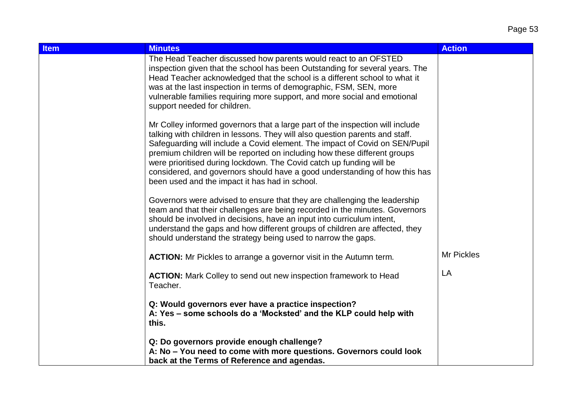| <b>Item</b> | <b>Minutes</b>                                                                                                                                                                                                                                                                                                                                                                                                                                                                                                                    | <b>Action</b>     |
|-------------|-----------------------------------------------------------------------------------------------------------------------------------------------------------------------------------------------------------------------------------------------------------------------------------------------------------------------------------------------------------------------------------------------------------------------------------------------------------------------------------------------------------------------------------|-------------------|
|             | The Head Teacher discussed how parents would react to an OFSTED<br>inspection given that the school has been Outstanding for several years. The<br>Head Teacher acknowledged that the school is a different school to what it<br>was at the last inspection in terms of demographic, FSM, SEN, more<br>vulnerable families requiring more support, and more social and emotional<br>support needed for children.                                                                                                                  |                   |
|             | Mr Colley informed governors that a large part of the inspection will include<br>talking with children in lessons. They will also question parents and staff.<br>Safeguarding will include a Covid element. The impact of Covid on SEN/Pupil<br>premium children will be reported on including how these different groups<br>were prioritised during lockdown. The Covid catch up funding will be<br>considered, and governors should have a good understanding of how this has<br>been used and the impact it has had in school. |                   |
|             | Governors were advised to ensure that they are challenging the leadership<br>team and that their challenges are being recorded in the minutes. Governors<br>should be involved in decisions, have an input into curriculum intent,<br>understand the gaps and how different groups of children are affected, they<br>should understand the strategy being used to narrow the gaps.                                                                                                                                                |                   |
|             | <b>ACTION:</b> Mr Pickles to arrange a governor visit in the Autumn term.                                                                                                                                                                                                                                                                                                                                                                                                                                                         | <b>Mr Pickles</b> |
|             | <b>ACTION:</b> Mark Colley to send out new inspection framework to Head<br>Teacher.                                                                                                                                                                                                                                                                                                                                                                                                                                               | LA                |
|             | Q: Would governors ever have a practice inspection?<br>A: Yes – some schools do a 'Mocksted' and the KLP could help with<br>this.                                                                                                                                                                                                                                                                                                                                                                                                 |                   |
|             | Q: Do governors provide enough challenge?<br>A: No - You need to come with more questions. Governors could look<br>back at the Terms of Reference and agendas.                                                                                                                                                                                                                                                                                                                                                                    |                   |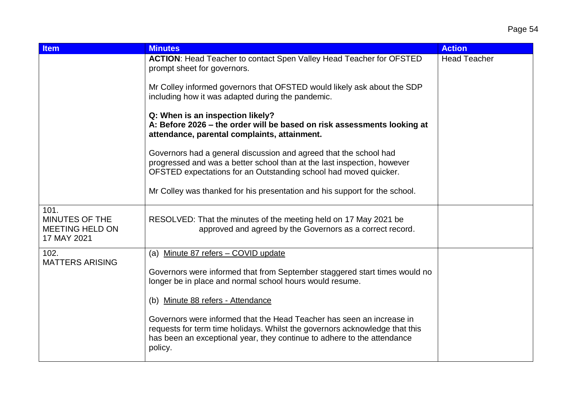| <b>Item</b>                                                            | <b>Minutes</b>                                                                                                                                                                                                                             | <b>Action</b>       |
|------------------------------------------------------------------------|--------------------------------------------------------------------------------------------------------------------------------------------------------------------------------------------------------------------------------------------|---------------------|
|                                                                        | <b>ACTION:</b> Head Teacher to contact Spen Valley Head Teacher for OFSTED<br>prompt sheet for governors.                                                                                                                                  | <b>Head Teacher</b> |
|                                                                        | Mr Colley informed governors that OFSTED would likely ask about the SDP<br>including how it was adapted during the pandemic.                                                                                                               |                     |
|                                                                        | Q: When is an inspection likely?<br>A: Before 2026 - the order will be based on risk assessments looking at<br>attendance, parental complaints, attainment.                                                                                |                     |
|                                                                        | Governors had a general discussion and agreed that the school had<br>progressed and was a better school than at the last inspection, however<br>OFSTED expectations for an Outstanding school had moved quicker.                           |                     |
|                                                                        | Mr Colley was thanked for his presentation and his support for the school.                                                                                                                                                                 |                     |
| 101.<br><b>MINUTES OF THE</b><br><b>MEETING HELD ON</b><br>17 MAY 2021 | RESOLVED: That the minutes of the meeting held on 17 May 2021 be<br>approved and agreed by the Governors as a correct record.                                                                                                              |                     |
| 102.                                                                   | (a) Minute 87 refers - COVID update                                                                                                                                                                                                        |                     |
| <b>MATTERS ARISING</b>                                                 | Governors were informed that from September staggered start times would no<br>longer be in place and normal school hours would resume.                                                                                                     |                     |
|                                                                        | (b) Minute 88 refers - Attendance                                                                                                                                                                                                          |                     |
|                                                                        | Governors were informed that the Head Teacher has seen an increase in<br>requests for term time holidays. Whilst the governors acknowledge that this<br>has been an exceptional year, they continue to adhere to the attendance<br>policy. |                     |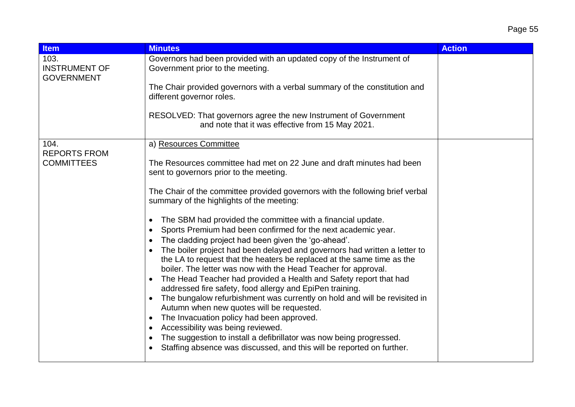| <b>Item</b>                                       | <b>Minutes</b>                                                                                                                                      | <b>Action</b> |
|---------------------------------------------------|-----------------------------------------------------------------------------------------------------------------------------------------------------|---------------|
| 103.<br><b>INSTRUMENT OF</b><br><b>GOVERNMENT</b> | Governors had been provided with an updated copy of the Instrument of<br>Government prior to the meeting.                                           |               |
|                                                   | The Chair provided governors with a verbal summary of the constitution and<br>different governor roles.                                             |               |
|                                                   | RESOLVED: That governors agree the new Instrument of Government<br>and note that it was effective from 15 May 2021.                                 |               |
| 104.                                              | a) Resources Committee                                                                                                                              |               |
| <b>REPORTS FROM</b><br><b>COMMITTEES</b>          | The Resources committee had met on 22 June and draft minutes had been<br>sent to governors prior to the meeting.                                    |               |
|                                                   | The Chair of the committee provided governors with the following brief verbal<br>summary of the highlights of the meeting:                          |               |
|                                                   | The SBM had provided the committee with a financial update.                                                                                         |               |
|                                                   | Sports Premium had been confirmed for the next academic year.<br>The cladding project had been given the 'go-ahead'.                                |               |
|                                                   | The boiler project had been delayed and governors had written a letter to<br>the LA to request that the heaters be replaced at the same time as the |               |
|                                                   | boiler. The letter was now with the Head Teacher for approval.                                                                                      |               |
|                                                   | The Head Teacher had provided a Health and Safety report that had<br>$\bullet$<br>addressed fire safety, food allergy and EpiPen training.          |               |
|                                                   | The bungalow refurbishment was currently on hold and will be revisited in<br>Autumn when new quotes will be requested.                              |               |
|                                                   | The Invacuation policy had been approved.<br>$\bullet$                                                                                              |               |
|                                                   | Accessibility was being reviewed.<br>The suggestion to install a defibrillator was now being progressed.                                            |               |
|                                                   | Staffing absence was discussed, and this will be reported on further.                                                                               |               |
|                                                   |                                                                                                                                                     |               |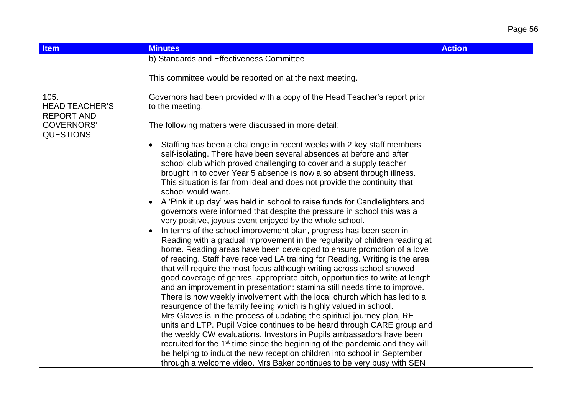# Page 56

| <b>Item</b>                                        | <b>Minutes</b>                                                                                                                                                                                                                                                                                                                                                                                                                                                                                                                                                                                                                                                                                                                                                                                                                                                                                                                                                                                                                                                                                                                                                                                                                                                                                                                                                                                                                                                                                                                                                                                                                                                                                                                     | <b>Action</b> |
|----------------------------------------------------|------------------------------------------------------------------------------------------------------------------------------------------------------------------------------------------------------------------------------------------------------------------------------------------------------------------------------------------------------------------------------------------------------------------------------------------------------------------------------------------------------------------------------------------------------------------------------------------------------------------------------------------------------------------------------------------------------------------------------------------------------------------------------------------------------------------------------------------------------------------------------------------------------------------------------------------------------------------------------------------------------------------------------------------------------------------------------------------------------------------------------------------------------------------------------------------------------------------------------------------------------------------------------------------------------------------------------------------------------------------------------------------------------------------------------------------------------------------------------------------------------------------------------------------------------------------------------------------------------------------------------------------------------------------------------------------------------------------------------------|---------------|
|                                                    | b) Standards and Effectiveness Committee                                                                                                                                                                                                                                                                                                                                                                                                                                                                                                                                                                                                                                                                                                                                                                                                                                                                                                                                                                                                                                                                                                                                                                                                                                                                                                                                                                                                                                                                                                                                                                                                                                                                                           |               |
|                                                    | This committee would be reported on at the next meeting.                                                                                                                                                                                                                                                                                                                                                                                                                                                                                                                                                                                                                                                                                                                                                                                                                                                                                                                                                                                                                                                                                                                                                                                                                                                                                                                                                                                                                                                                                                                                                                                                                                                                           |               |
| 105.<br><b>HEAD TEACHER'S</b><br><b>REPORT AND</b> | Governors had been provided with a copy of the Head Teacher's report prior<br>to the meeting.                                                                                                                                                                                                                                                                                                                                                                                                                                                                                                                                                                                                                                                                                                                                                                                                                                                                                                                                                                                                                                                                                                                                                                                                                                                                                                                                                                                                                                                                                                                                                                                                                                      |               |
| <b>GOVERNORS'</b>                                  | The following matters were discussed in more detail:                                                                                                                                                                                                                                                                                                                                                                                                                                                                                                                                                                                                                                                                                                                                                                                                                                                                                                                                                                                                                                                                                                                                                                                                                                                                                                                                                                                                                                                                                                                                                                                                                                                                               |               |
| <b>QUESTIONS</b>                                   | Staffing has been a challenge in recent weeks with 2 key staff members<br>self-isolating. There have been several absences at before and after<br>school club which proved challenging to cover and a supply teacher<br>brought in to cover Year 5 absence is now also absent through illness.<br>This situation is far from ideal and does not provide the continuity that<br>school would want.<br>A 'Pink it up day' was held in school to raise funds for Candlelighters and<br>governors were informed that despite the pressure in school this was a<br>very positive, joyous event enjoyed by the whole school.<br>In terms of the school improvement plan, progress has been seen in<br>Reading with a gradual improvement in the regularity of children reading at<br>home. Reading areas have been developed to ensure promotion of a love<br>of reading. Staff have received LA training for Reading. Writing is the area<br>that will require the most focus although writing across school showed<br>good coverage of genres, appropriate pitch, opportunities to write at length<br>and an improvement in presentation: stamina still needs time to improve.<br>There is now weekly involvement with the local church which has led to a<br>resurgence of the family feeling which is highly valued in school.<br>Mrs Glaves is in the process of updating the spiritual journey plan, RE<br>units and LTP. Pupil Voice continues to be heard through CARE group and<br>the weekly CW evaluations. Investors in Pupils ambassadors have been<br>recruited for the 1 <sup>st</sup> time since the beginning of the pandemic and they will<br>be helping to induct the new reception children into school in September |               |
|                                                    | through a welcome video. Mrs Baker continues to be very busy with SEN                                                                                                                                                                                                                                                                                                                                                                                                                                                                                                                                                                                                                                                                                                                                                                                                                                                                                                                                                                                                                                                                                                                                                                                                                                                                                                                                                                                                                                                                                                                                                                                                                                                              |               |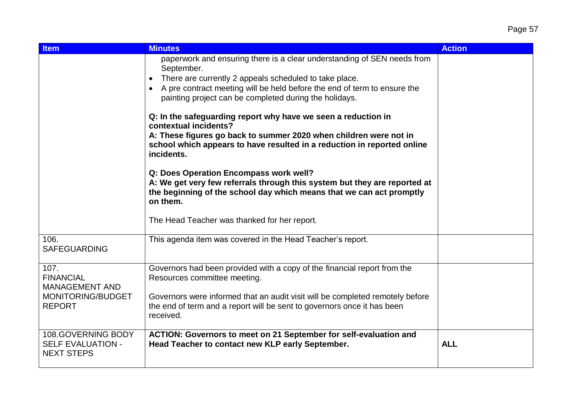| <b>Item</b>                                                                             | <b>Minutes</b>                                                                                                                                                                                                                                                                        | <b>Action</b> |
|-----------------------------------------------------------------------------------------|---------------------------------------------------------------------------------------------------------------------------------------------------------------------------------------------------------------------------------------------------------------------------------------|---------------|
|                                                                                         | paperwork and ensuring there is a clear understanding of SEN needs from<br>September.<br>There are currently 2 appeals scheduled to take place.<br>A pre contract meeting will be held before the end of term to ensure the<br>painting project can be completed during the holidays. |               |
|                                                                                         | Q: In the safeguarding report why have we seen a reduction in<br>contextual incidents?<br>A: These figures go back to summer 2020 when children were not in<br>school which appears to have resulted in a reduction in reported online<br>incidents.                                  |               |
|                                                                                         | Q: Does Operation Encompass work well?<br>A: We get very few referrals through this system but they are reported at<br>the beginning of the school day which means that we can act promptly<br>on them.<br>The Head Teacher was thanked for her report.                               |               |
| 106.<br><b>SAFEGUARDING</b>                                                             | This agenda item was covered in the Head Teacher's report.                                                                                                                                                                                                                            |               |
| 107.<br><b>FINANCIAL</b><br><b>MANAGEMENT AND</b><br>MONITORING/BUDGET<br><b>REPORT</b> | Governors had been provided with a copy of the financial report from the<br>Resources committee meeting.<br>Governors were informed that an audit visit will be completed remotely before<br>the end of term and a report will be sent to governors once it has been<br>received.     |               |
| 108.GOVERNING BODY<br><b>SELF EVALUATION -</b><br><b>NEXT STEPS</b>                     | ACTION: Governors to meet on 21 September for self-evaluation and<br>Head Teacher to contact new KLP early September.                                                                                                                                                                 | <b>ALL</b>    |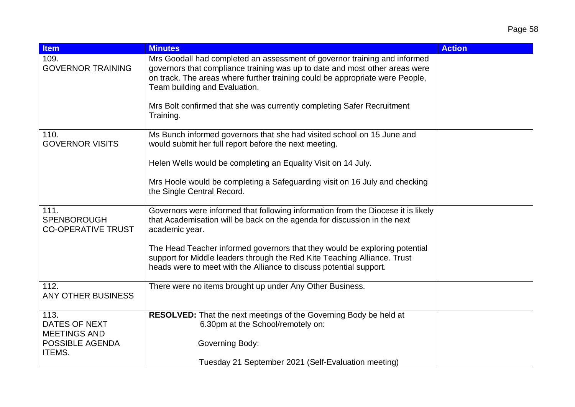| <b>Item</b>                                             | <b>Minutes</b>                                                                                                                                                                                                                                                            | <b>Action</b> |
|---------------------------------------------------------|---------------------------------------------------------------------------------------------------------------------------------------------------------------------------------------------------------------------------------------------------------------------------|---------------|
| 109.<br><b>GOVERNOR TRAINING</b>                        | Mrs Goodall had completed an assessment of governor training and informed<br>governors that compliance training was up to date and most other areas were<br>on track. The areas where further training could be appropriate were People,<br>Team building and Evaluation. |               |
|                                                         | Mrs Bolt confirmed that she was currently completing Safer Recruitment<br>Training.                                                                                                                                                                                       |               |
| 110.<br><b>GOVERNOR VISITS</b>                          | Ms Bunch informed governors that she had visited school on 15 June and<br>would submit her full report before the next meeting.                                                                                                                                           |               |
|                                                         | Helen Wells would be completing an Equality Visit on 14 July.                                                                                                                                                                                                             |               |
|                                                         | Mrs Hoole would be completing a Safeguarding visit on 16 July and checking<br>the Single Central Record.                                                                                                                                                                  |               |
| 111.<br><b>SPENBOROUGH</b><br><b>CO-OPERATIVE TRUST</b> | Governors were informed that following information from the Diocese it is likely<br>that Academisation will be back on the agenda for discussion in the next<br>academic year.                                                                                            |               |
|                                                         | The Head Teacher informed governors that they would be exploring potential<br>support for Middle leaders through the Red Kite Teaching Alliance. Trust<br>heads were to meet with the Alliance to discuss potential support.                                              |               |
| 112.<br>ANY OTHER BUSINESS                              | There were no items brought up under Any Other Business.                                                                                                                                                                                                                  |               |
| 113.<br>DATES OF NEXT<br><b>MEETINGS AND</b>            | <b>RESOLVED:</b> That the next meetings of the Governing Body be held at<br>6.30pm at the School/remotely on:                                                                                                                                                             |               |
| POSSIBLE AGENDA<br><b>ITEMS.</b>                        | Governing Body:                                                                                                                                                                                                                                                           |               |
|                                                         | Tuesday 21 September 2021 (Self-Evaluation meeting)                                                                                                                                                                                                                       |               |